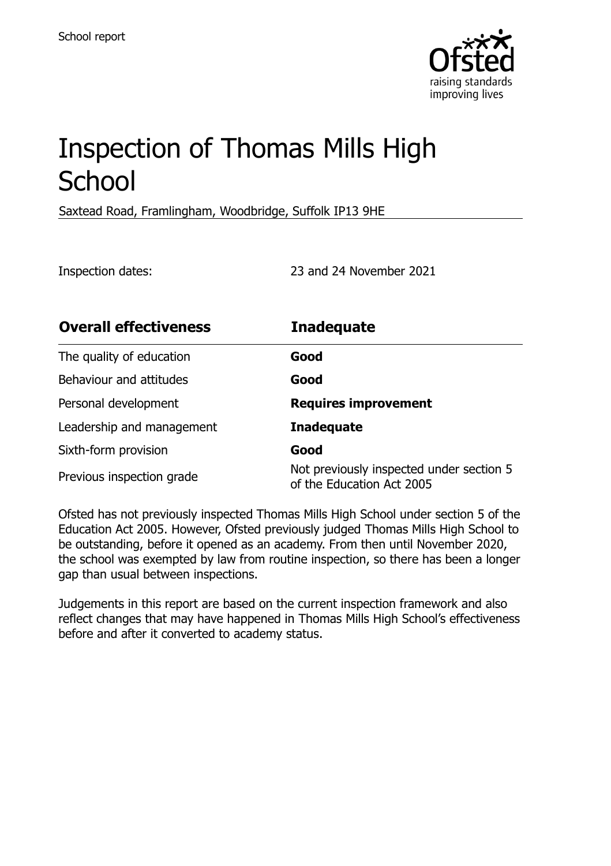

# Inspection of Thomas Mills High **School**

Saxtead Road, Framlingham, Woodbridge, Suffolk IP13 9HE

Inspection dates: 23 and 24 November 2021

| <b>Overall effectiveness</b> | <b>Inadequate</b>                                                     |
|------------------------------|-----------------------------------------------------------------------|
| The quality of education     | Good                                                                  |
| Behaviour and attitudes      | Good                                                                  |
| Personal development         | <b>Requires improvement</b>                                           |
| Leadership and management    | <b>Inadequate</b>                                                     |
| Sixth-form provision         | Good                                                                  |
| Previous inspection grade    | Not previously inspected under section 5<br>of the Education Act 2005 |

Ofsted has not previously inspected Thomas Mills High School under section 5 of the Education Act 2005. However, Ofsted previously judged Thomas Mills High School to be outstanding, before it opened as an academy. From then until November 2020, the school was exempted by law from routine inspection, so there has been a longer gap than usual between inspections.

Judgements in this report are based on the current inspection framework and also reflect changes that may have happened in Thomas Mills High School's effectiveness before and after it converted to academy status.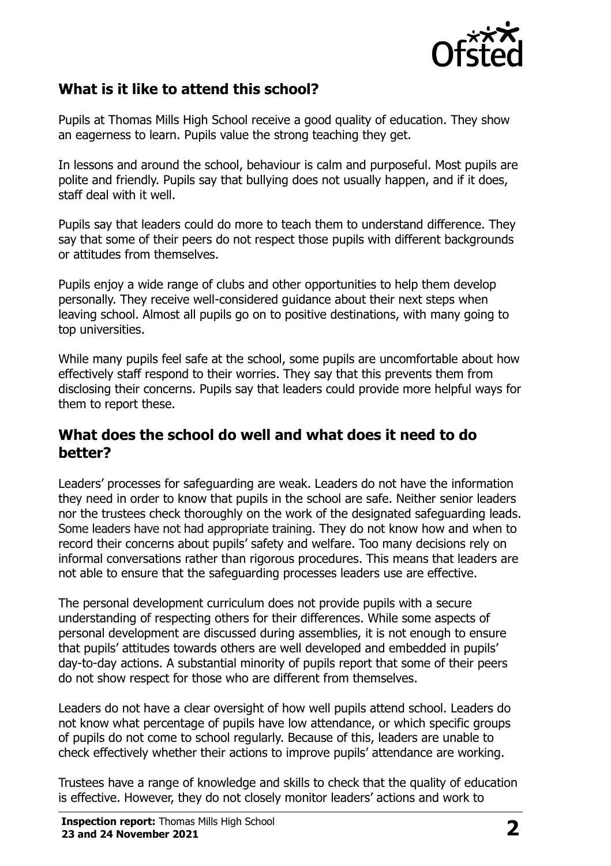

## **What is it like to attend this school?**

Pupils at Thomas Mills High School receive a good quality of education. They show an eagerness to learn. Pupils value the strong teaching they get.

In lessons and around the school, behaviour is calm and purposeful. Most pupils are polite and friendly. Pupils say that bullying does not usually happen, and if it does, staff deal with it well.

Pupils say that leaders could do more to teach them to understand difference. They say that some of their peers do not respect those pupils with different backgrounds or attitudes from themselves.

Pupils enjoy a wide range of clubs and other opportunities to help them develop personally. They receive well-considered guidance about their next steps when leaving school. Almost all pupils go on to positive destinations, with many going to top universities.

While many pupils feel safe at the school, some pupils are uncomfortable about how effectively staff respond to their worries. They say that this prevents them from disclosing their concerns. Pupils say that leaders could provide more helpful ways for them to report these.

#### **What does the school do well and what does it need to do better?**

Leaders' processes for safeguarding are weak. Leaders do not have the information they need in order to know that pupils in the school are safe. Neither senior leaders nor the trustees check thoroughly on the work of the designated safeguarding leads. Some leaders have not had appropriate training. They do not know how and when to record their concerns about pupils' safety and welfare. Too many decisions rely on informal conversations rather than rigorous procedures. This means that leaders are not able to ensure that the safeguarding processes leaders use are effective.

The personal development curriculum does not provide pupils with a secure understanding of respecting others for their differences. While some aspects of personal development are discussed during assemblies, it is not enough to ensure that pupils' attitudes towards others are well developed and embedded in pupils' day-to-day actions. A substantial minority of pupils report that some of their peers do not show respect for those who are different from themselves.

Leaders do not have a clear oversight of how well pupils attend school. Leaders do not know what percentage of pupils have low attendance, or which specific groups of pupils do not come to school regularly. Because of this, leaders are unable to check effectively whether their actions to improve pupils' attendance are working.

Trustees have a range of knowledge and skills to check that the quality of education is effective. However, they do not closely monitor leaders' actions and work to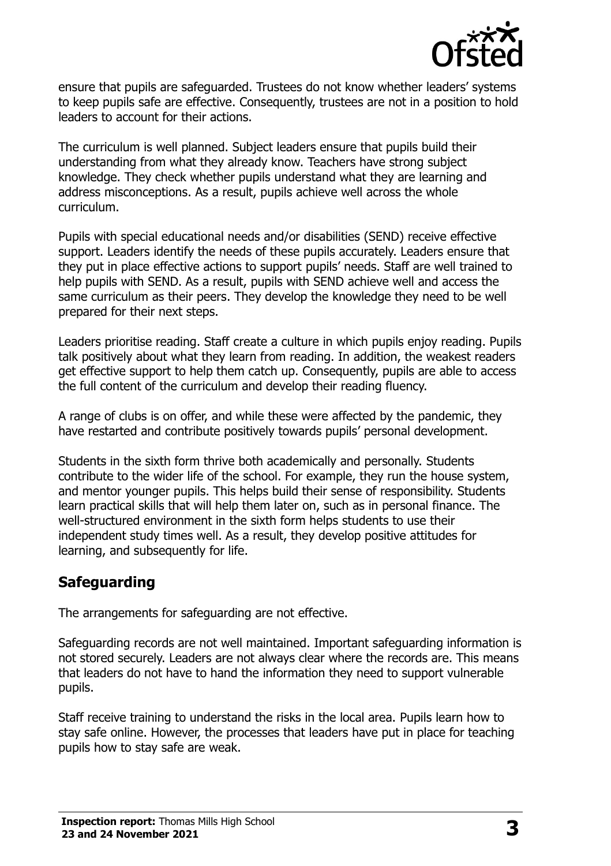

ensure that pupils are safeguarded. Trustees do not know whether leaders' systems to keep pupils safe are effective. Consequently, trustees are not in a position to hold leaders to account for their actions.

The curriculum is well planned. Subject leaders ensure that pupils build their understanding from what they already know. Teachers have strong subject knowledge. They check whether pupils understand what they are learning and address misconceptions. As a result, pupils achieve well across the whole curriculum.

Pupils with special educational needs and/or disabilities (SEND) receive effective support. Leaders identify the needs of these pupils accurately. Leaders ensure that they put in place effective actions to support pupils' needs. Staff are well trained to help pupils with SEND. As a result, pupils with SEND achieve well and access the same curriculum as their peers. They develop the knowledge they need to be well prepared for their next steps.

Leaders prioritise reading. Staff create a culture in which pupils enjoy reading. Pupils talk positively about what they learn from reading. In addition, the weakest readers get effective support to help them catch up. Consequently, pupils are able to access the full content of the curriculum and develop their reading fluency.

A range of clubs is on offer, and while these were affected by the pandemic, they have restarted and contribute positively towards pupils' personal development.

Students in the sixth form thrive both academically and personally. Students contribute to the wider life of the school. For example, they run the house system, and mentor younger pupils. This helps build their sense of responsibility. Students learn practical skills that will help them later on, such as in personal finance. The well-structured environment in the sixth form helps students to use their independent study times well. As a result, they develop positive attitudes for learning, and subsequently for life.

### **Safeguarding**

The arrangements for safeguarding are not effective.

Safeguarding records are not well maintained. Important safeguarding information is not stored securely. Leaders are not always clear where the records are. This means that leaders do not have to hand the information they need to support vulnerable pupils.

Staff receive training to understand the risks in the local area. Pupils learn how to stay safe online. However, the processes that leaders have put in place for teaching pupils how to stay safe are weak.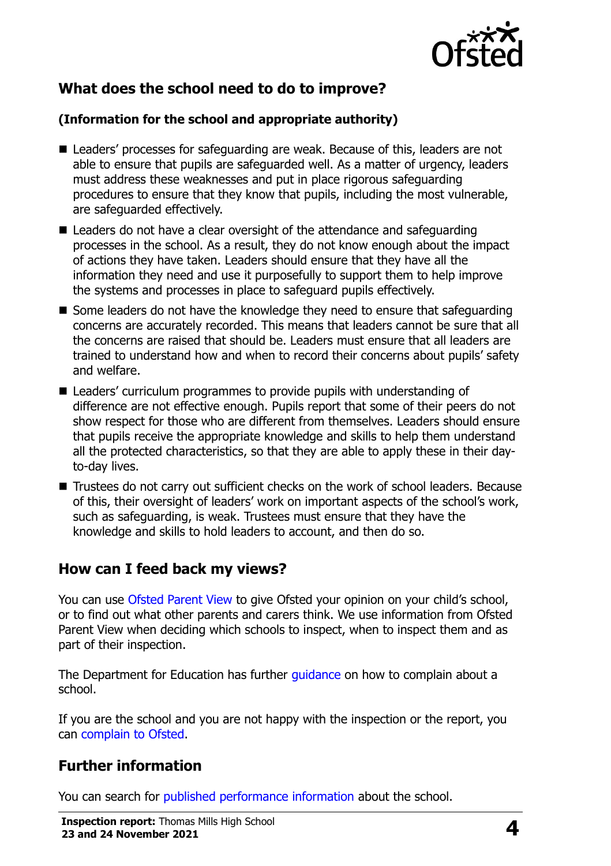

## **What does the school need to do to improve?**

#### **(Information for the school and appropriate authority)**

- Leaders' processes for safeguarding are weak. Because of this, leaders are not able to ensure that pupils are safeguarded well. As a matter of urgency, leaders must address these weaknesses and put in place rigorous safeguarding procedures to ensure that they know that pupils, including the most vulnerable, are safeguarded effectively.
- Leaders do not have a clear oversight of the attendance and safeguarding processes in the school. As a result, they do not know enough about the impact of actions they have taken. Leaders should ensure that they have all the information they need and use it purposefully to support them to help improve the systems and processes in place to safeguard pupils effectively.
- $\blacksquare$  Some leaders do not have the knowledge they need to ensure that safeguarding concerns are accurately recorded. This means that leaders cannot be sure that all the concerns are raised that should be. Leaders must ensure that all leaders are trained to understand how and when to record their concerns about pupils' safety and welfare.
- Leaders' curriculum programmes to provide pupils with understanding of difference are not effective enough. Pupils report that some of their peers do not show respect for those who are different from themselves. Leaders should ensure that pupils receive the appropriate knowledge and skills to help them understand all the protected characteristics, so that they are able to apply these in their dayto-day lives.
- Trustees do not carry out sufficient checks on the work of school leaders. Because of this, their oversight of leaders' work on important aspects of the school's work, such as safeguarding, is weak. Trustees must ensure that they have the knowledge and skills to hold leaders to account, and then do so.

### **How can I feed back my views?**

You can use [Ofsted Parent View](http://parentview.ofsted.gov.uk/) to give Ofsted your opinion on your child's school, or to find out what other parents and carers think. We use information from Ofsted Parent View when deciding which schools to inspect, when to inspect them and as part of their inspection.

The Department for Education has further *quidance* on how to complain about a school.

If you are the school and you are not happy with the inspection or the report, you can [complain to Ofsted.](http://www.gov.uk/complain-ofsted-report)

## **Further information**

You can search for [published performance information](http://www.compare-school-performance.service.gov.uk/) about the school.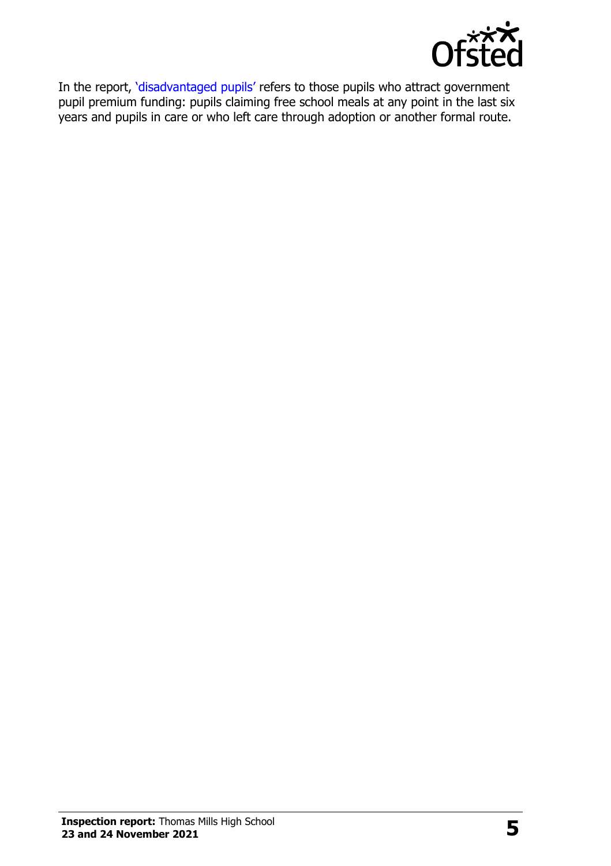

In the report, '[disadvantaged pupils](http://www.gov.uk/guidance/pupil-premium-information-for-schools-and-alternative-provision-settings)' refers to those pupils who attract government pupil premium funding: pupils claiming free school meals at any point in the last six years and pupils in care or who left care through adoption or another formal route.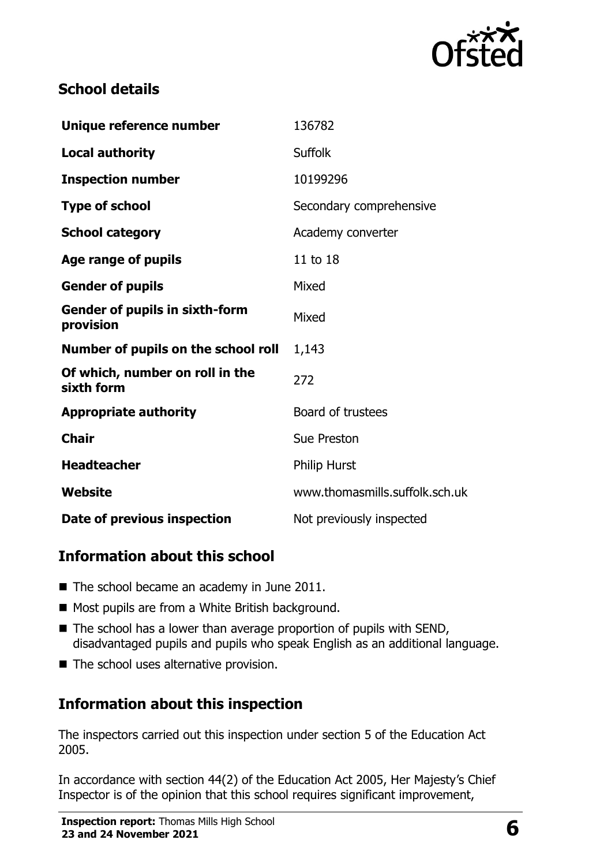

## **School details**

| Unique reference number                            | 136782                         |
|----------------------------------------------------|--------------------------------|
| <b>Local authority</b>                             | <b>Suffolk</b>                 |
| <b>Inspection number</b>                           | 10199296                       |
| <b>Type of school</b>                              | Secondary comprehensive        |
| <b>School category</b>                             | Academy converter              |
| Age range of pupils                                | 11 to 18                       |
| <b>Gender of pupils</b>                            | Mixed                          |
| <b>Gender of pupils in sixth-form</b><br>provision | Mixed                          |
| Number of pupils on the school roll                | 1,143                          |
| Of which, number on roll in the<br>sixth form      | 272                            |
| <b>Appropriate authority</b>                       | Board of trustees              |
| <b>Chair</b>                                       | <b>Sue Preston</b>             |
| <b>Headteacher</b>                                 | <b>Philip Hurst</b>            |
| Website                                            | www.thomasmills.suffolk.sch.uk |
| Date of previous inspection                        | Not previously inspected       |

## **Information about this school**

- The school became an academy in June 2011.
- Most pupils are from a White British background.
- $\blacksquare$  The school has a lower than average proportion of pupils with SEND, disadvantaged pupils and pupils who speak English as an additional language.
- The school uses alternative provision.

## **Information about this inspection**

The inspectors carried out this inspection under section 5 of the Education Act 2005.

In accordance with section 44(2) of the Education Act 2005, Her Majesty's Chief Inspector is of the opinion that this school requires significant improvement,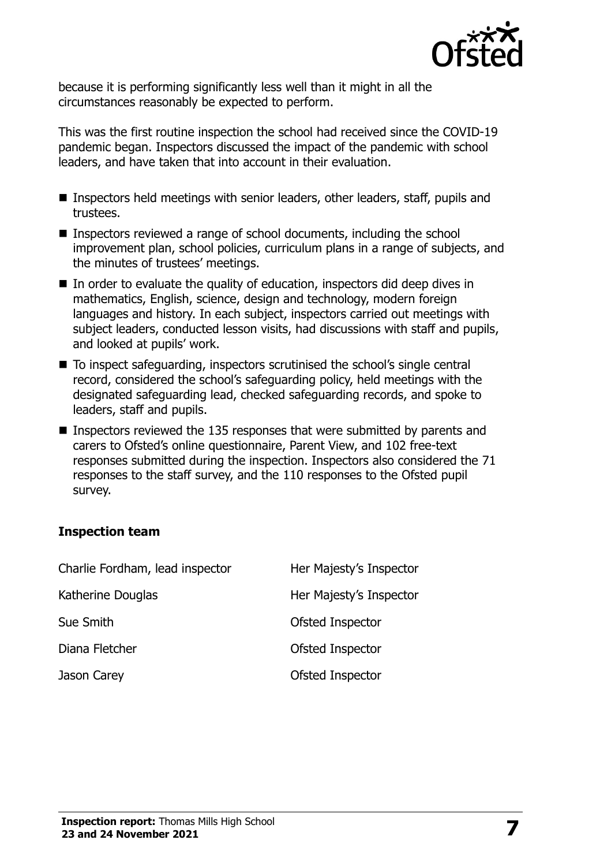

because it is performing significantly less well than it might in all the circumstances reasonably be expected to perform.

This was the first routine inspection the school had received since the COVID-19 pandemic began. Inspectors discussed the impact of the pandemic with school leaders, and have taken that into account in their evaluation.

- Inspectors held meetings with senior leaders, other leaders, staff, pupils and trustees.
- Inspectors reviewed a range of school documents, including the school improvement plan, school policies, curriculum plans in a range of subjects, and the minutes of trustees' meetings.
- In order to evaluate the quality of education, inspectors did deep dives in mathematics, English, science, design and technology, modern foreign languages and history. In each subject, inspectors carried out meetings with subject leaders, conducted lesson visits, had discussions with staff and pupils, and looked at pupils' work.
- To inspect safeguarding, inspectors scrutinised the school's single central record, considered the school's safeguarding policy, held meetings with the designated safeguarding lead, checked safeguarding records, and spoke to leaders, staff and pupils.
- Inspectors reviewed the 135 responses that were submitted by parents and carers to Ofsted's online questionnaire, Parent View, and 102 free-text responses submitted during the inspection. Inspectors also considered the 71 responses to the staff survey, and the 110 responses to the Ofsted pupil survey.

#### **Inspection team**

| Charlie Fordham, lead inspector | Her Majesty's Inspector |
|---------------------------------|-------------------------|
| Katherine Douglas               | Her Majesty's Inspector |
| Sue Smith                       | Ofsted Inspector        |
| Diana Fletcher                  | Ofsted Inspector        |
| Jason Carey                     | Ofsted Inspector        |